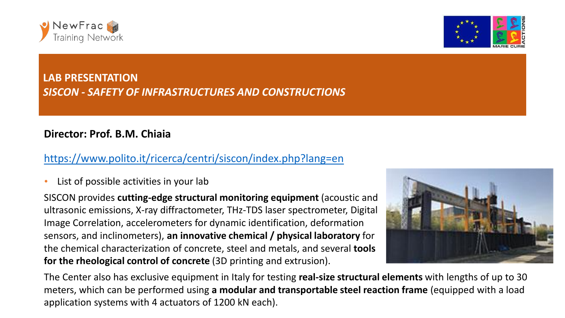



## **LAB PRESENTATION** *SISCON - SAFETY OF INFRASTRUCTURES AND CONSTRUCTIONS*

## **Director: Prof. B.M. Chiaia**

## <https://www.polito.it/ricerca/centri/siscon/index.php?lang=en>

List of possible activities in your lab

SISCON provides **cutting-edge structural monitoring equipment** (acoustic and ultrasonic emissions, X-ray diffractometer, THz-TDS laser spectrometer, Digital Image Correlation, accelerometers for dynamic identification, deformation sensors, and inclinometers), **an innovative chemical / physical laboratory** for the chemical characterization of concrete, steel and metals, and several **tools for the rheological control of concrete** (3D printing and extrusion).



The Center also has exclusive equipment in Italy for testing **real-size structural elements** with lengths of up to 30 meters, which can be performed using **a modular and transportable steel reaction frame** (equipped with a load application systems with 4 actuators of 1200 kN each).